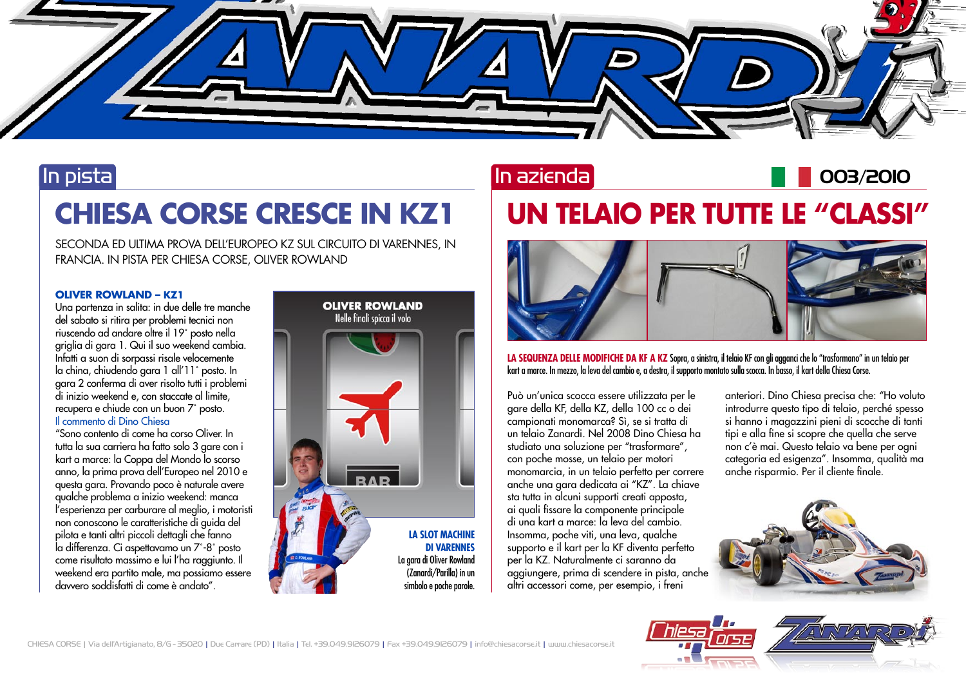

### In pista

# **CHIESA CORSE CRESCE IN KZ1**

SECONDA ED ULTIMA PROVA DELL'EUROPEO KZ SUL CIRCUITO DI VARENNES, IN FRANCIA. IN PISTA PER CHIESA CORSE, OLIVER ROWLAND

#### **OLIVER ROWLAND – KZ1**

Una partenza in salita: in due delle tre manche del sabato si ritira per problemi tecnici non riuscendo ad andare oltre il 19˚ posto nella griglia di gara 1. Qui il suo weekend cambia. Infatti a suon di sorpassi risale velocemente la china, chiudendo gara 1 all'11˚ posto. In gara 2 conferma di aver risolto tutti i problemi di inizio weekend e, con staccate al limite, recupera e chiude con un buon 7˚ posto. Il commento di Dino Chiesa

"Sono contento di come ha corso Oliver. In tutta la sua carriera ha fatto solo 3 gare con i kart a marce: la Coppa del Mondo lo scorso anno, la prima prova dell'Europeo nel 2010 e questa gara. Provando poco è naturale avere qualche problema a inizio weekend: manca l'esperienza per carburare al meglio, i motoristi non conoscono le caratteristiche di guida del pilota e tanti altri piccoli dettagli che fanno la differenza. Ci aspettavamo un 7˚-8˚ posto come risultato massimo e lui l'ha raggiunto. Il weekend era partito male, ma possiamo essere davvero soddisfatti di come è andato".



### In azienda

# **UN TELAIO PER TUTTE LE "CLASSI"**



**LA SEQUENZA DELLE MODIFICHE DA KF A KZ** Sopra, a sinistra, il telaio KF con gli agganci che lo "trasformano" in un telaio per kart a marce. In mezzo, la leva del cambio e, a destra, il supporto montato sulla scocca. In basso, il kart della Chiesa Corse.

Può un'unica scocca essere utilizzata per le gare della KF, della KZ, della 100 cc o dei campionati monomarca? Sì, se si tratta di un telaio Zanardi. Nel 2008 Dino Chiesa ha studiato una soluzione per "trasformare", con poche mosse, un telaio per motori monomarcia, in un telaio perfetto per correre anche una gara dedicata ai "KZ". La chiave sta tutta in alcuni supporti creati apposta, ai quali fissare la componente principale di una kart a marce: la leva del cambio. Insomma, poche viti, una leva, qualche supporto e il kart per la KF diventa perfetto per la KZ. Naturalmente ci saranno da aggiungere, prima di scendere in pista, anche altri accessori come, per esempio, i freni

anteriori. Dino Chiesa precisa che: "Ho voluto introdurre questo tipo di telaio, perché spesso si hanno i magazzini pieni di scocche di tanti tipi e alla fine si scopre che quella che serve non c'è mai. Questo telaio va bene per ogni categoria ed esigenza". Insomma, qualità ma anche risparmio. Per il cliente finale.

003/2010